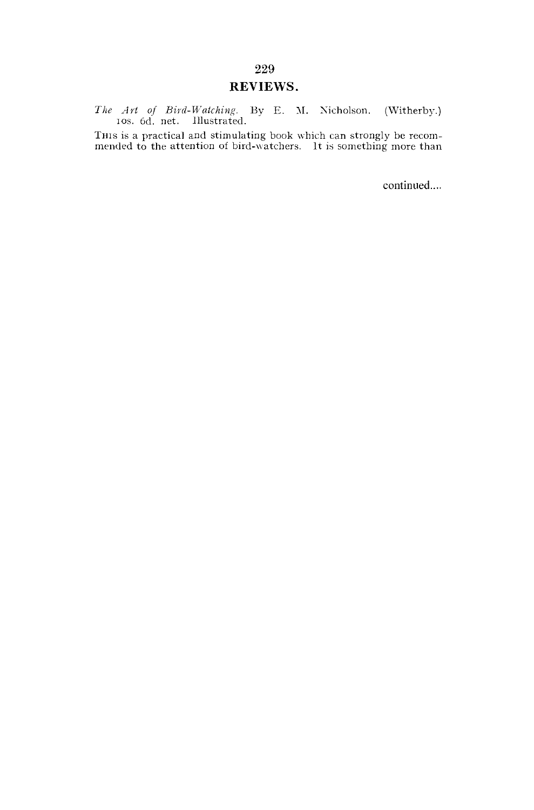# REVIEWS.

*The Art of Bird-Watching.* By E. M. Xicholson. (Witherby.) ios. 6d. net. Illustrated.

THIS is a practical and stimulating book which can strongly be recommended to the attention of bird-watchers. It is something more than

continued....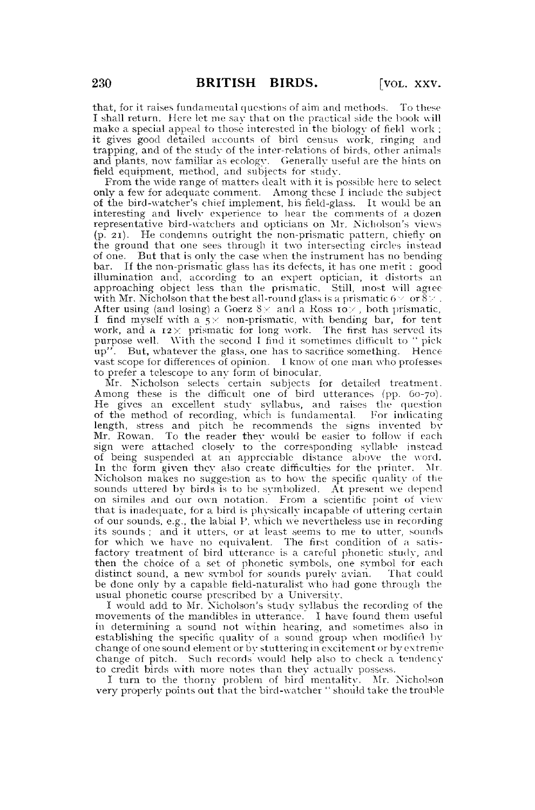that, for it raises fundamental questions of aim and methods. To these I shall return. Here let me sav that on the praetieal side the book will make a special appeal to those interested in the biology of field work ; it gives good detailed accounts of bird census work, ringing and trapping, and of the study of the inter-relations of birds, other animals and plants, now familiar as ecology. Generally useful are the hints on field equipment, method, and subjects for study.

From the wide range of matters dealt with it is possible here to select only a few for adequate comment. Among these I include the subject of the bird-watcher's chief implement, his field-glass. It would be an interesting and lively experience to hear the comments of a dozen representative bird-watchers and opticians on Mr. Nicholson's views (p. 21). He condemns outright the non-prismatic pattern, chiefly on the ground that one sees through it two intersecting circles instead of one. But that is only the case when the instrument has no bending bar. If the non-prismatic glass has its defects, it has one merit : good illumination and, according to an expert optician, it distorts an approaching object less than the prismatic. Still, most will agree with Mr. Nicholson that the best all-round glass is a prismatic  $6 \vee \sigma \delta \vee$ . After using (and losing) a Goerz  $8 \times$  and a Ross ro $\times$ , both prismatic, I find myself with a  $5 \times$  non-prismatic, with bending bar, for tent work, and a  $12 \times$  prismatic for long work. The first has served its purpose well. With the second I find it sometimes difficult to " pick  $\overline{u}$ <sup>y</sup>. But, whatever the glass, one has to sacrifice something. Hence vast scope for differences of opinion. 1 know of one man who professes to prefer a telescope to anv form of binocular.

Mr. Nicholson selects certain subjects for detailed treatment. Among these is the difficult one of bird utterances (pp. 60-70). He gives an excellent study syllabus, and raises the question of the method of recording, which is fundamental. For indicating length, stress and pitch he recommends the signs invented by Mr. Rowan. To the reader they would be easier to follow if each sign were attached closely to the corresponding syllable instead of being suspended at an appreciable distance above the word. In the form given they also create difficulties for the printer. Mr. Nicholson makes no suggestion as to how the specific quality of the sounds uttered by birds is to be symbolized. At present we depend on similes and our own notation. From a scientific point of view that is inadequate, for a bird is physically incapable of uttering certain of our sounds, e.g., the labial P, which we nevertheless use in recording its sounds ; and it utters, or at least seems to me to utter, sounds for which we have no equivalent. The first condition of a satisfactory treatment of bird utterance is a careful phonetic study, and then the choice of a set of phonetic symbols, one symbol for each distinct sound, a new symbol for sounds purely avian. That could be done only by a capable field-naturalist who had gone through the usual phonetic course prescribed by a University.

I would add to Mr. Nicholson's study syllabus the recording of the movements of the mandibles in utterance. I have found them useful in determining a sound not within hearing, and sometimes also in establishing the specific quality of a sound group when modified by change of one sound element or by stuttering in excitement or by extreme change of pitch. Such records would help also to check a tendency to credit birds with more notes than they actually possess.

I turn to the thorny problem of bird mentality. Mr. Nicholson very properly points out that the bird-watcher " should take the trouble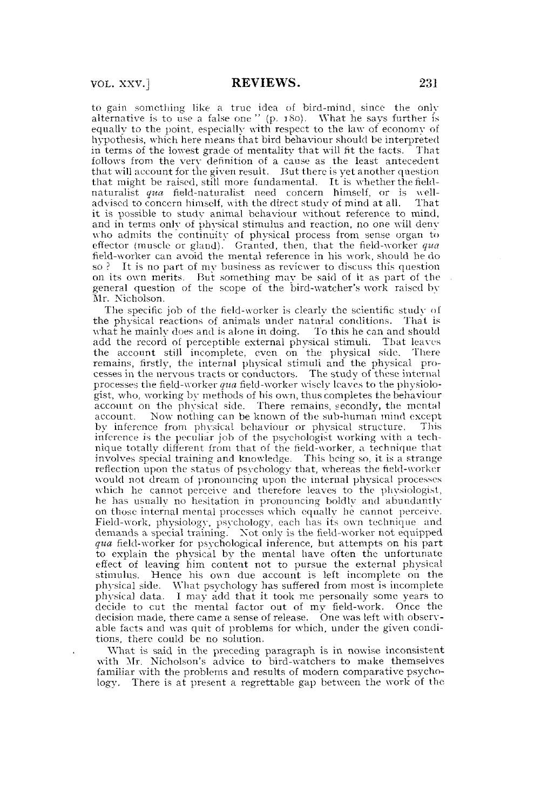to gain something like a true idea of bird-mind, since the only alternative is to use a false one " (p. 180). What he says further is equally to the point, especially with respect to the law of economy of hypothesis, which here means that bird behaviour should be interpreted in terms of the lowest grade of mentality that will fit the facts.  $\overline{\phantom{a}}$ follows from the verv definition of a cause as the least antecedent that will account for the given result. But there is yet another question that might be raised, still more fundamental. It is whether the fieldnaturalist *qua* field-naturalist need concern himself, or is welladvised to concern himself, with the direct study of mind at all. That it is possible to study animal behaviour without reference to mind, and in terms only of physical stimulus and reaction, no one will deny who admits the continuity of physical process from sense organ to effector (muscle or gland). Granted, then, that the field-worker *qua*  field-worker can avoid the mental reference in his work, should he do so ? It is no part of my business as reviewer to discuss this question on its own merits. But something may be said of it as part of the general question of the scope of the bird-watcher's work raised by Mr. Nicholson.

The specific job of the field-worker is clearly the scientific study of the physical reactions of animals under natural conditions. That is what he mainly does and is alone in doing. To this he can and should add the record of perceptible external physical stimuli. That leaves the account still incomplete, even on the physical side. remains, firstly, the internal physical stimuli and the physical processes in the nervous tracts or conductors. The study of these internal processes the field-worker *qua* field-worker wisely leaves to the physiologist, who, working by methods of his own, thus completes the behaviour account on the physical side. There remains, secondly, the mental account. Now nothing can be known of the sub-human mind except by inference from physical behaviour or physical structure. This inference is the peculiar job of the psychologist working with a tech-nique totally different from that of the field-worker, a technique that involves special training and knowledge. This being so, it is a strange reflection upon the status of psychology that, whereas the field-worker would not dream of pronouncing upon the internal physical processes which he cannot perceive and therefore leaves to the physiologist, he has usually no hesitation in pronouncing boldly and abundantly on. those internal mental processes which equally he cannot perceive. Field-work, physiology, psychology, each has its own technique and demands a special training. Xot only is the field-worker not equipped *qua* field-worker for psychological inference, but attempts on his part to explain the physical by the mental have often the unfortunate effect of leaving him content not to pursue the external physical stimulus. Hence his own due account is left incomplete on the physical side. What psychology has suffered from most is incomplete physical data. I may add that it took me personally some years to decide to cut the mental factor out of my field-work. Once the decision made, there came a sense of release. One was left with observable facts and was quit of problems for which, under the given conditions, there could be no solution.

What is said in the preceding paragraph is in nowise inconsistent with Mr. Nicholson's advice to bird-watchers to make themselves familiar with the problems and results of modern comparative psychology. There is at present a regrettable gap between the work of the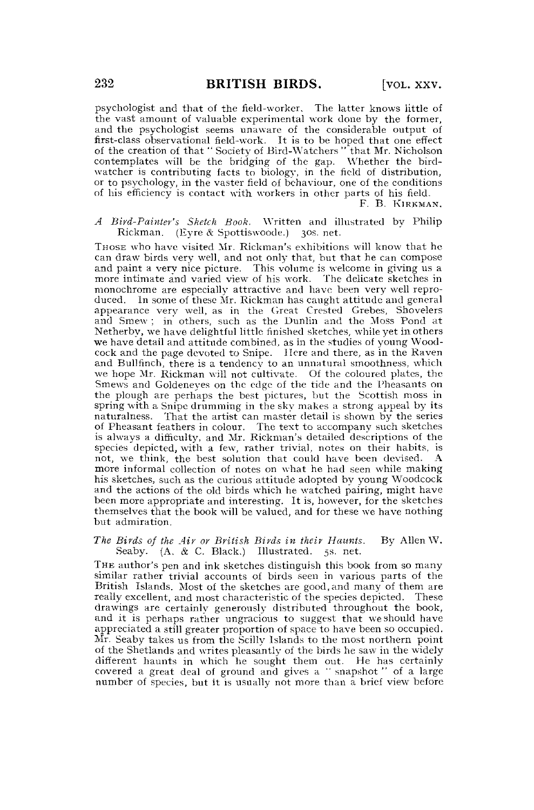psychologist and that of the field-worker. The latter knows little of the vast amount of valuable experimental work done by the former, and the psychologist seems unaware of the considerable output of first-class observational field-work. It is to be hoped that one effect of the creation of that "Society of Bird-Watchers" that Mr. Nicholson contemplates will be the bridging of the gap. Whether the birdwatcher is contributing facts to biology, in the field of distribution, or to psychology, in the vaster field of behaviour, one of the conditions of his efficiency is contact with workers in other parts of his field.

F. B. KIRKMAN.

*A Bird-Painter's Sketch Book.* Written and illustrated by Philip Rickman. (Eyre & Spottiswoode.) 30s. net.

THOSE who have visited Mr. Rickman's exhibitions will know that he can draw birds very well, and not only that, but that he can compose and paint a very nice picture. This volume is welcome in giving us a more intimate and varied view of his work. The delicate sketches in monochrome are especially attractive and have been very well reproduced. In some of these Mr. Rickman has caught attitude and general appearance very well, as in the Great Crested Grebes, Shovelers and Smew ; in others, such as the Dunlin and the Moss Pond at Netherby, we have delightful little finished sketches, while yet in others we have detail and attitude combined, as in the studies of young Woodcock and the page devoted to Snipe. Here and there, as in the Raven and Bullfinch, there is a tendency to an unnatural smoothness, which we hope Mr. Rickman will not cultivate. Of the coloured plates, the Smews and Goldeneyes on the edge of the tide and the Pheasants on the plough are perhaps the best pictures, but the Scottish moss in spring with a Snipe drumming in the sky makes a strong appeal by its naturalness. That the artist can master detail is shown by the series of Pheasant feathers in colour. The text to accompany such sketches is always a difficulty, and Mr. Rickman's detailed descriptions of the species depicted, with a few, rather trivial, notes on their habits, is not, we think, the best solution that could have been devised. A more informal collection of notes on what he had seen while making his sketches, such as the curious attitude adopted by young Woodcock and the actions of the old birds which he watched pairing, might have been more appropriate and interesting. It is, however, for the sketches themselves that the book will be valued, and for these we have nothing but admiration.

*The Birds of the Air or British Birds in their Haunts.* By Allen W.  $(A, \& C. Black.)$  Illustrated.

THE author's pen and ink sketches distinguish this book from so many similar rather trivial accounts of birds seen in various parts of the British Islands. Most of the sketches are good,and many of them are really excellent, and most characteristic of the species depicted. These drawings are certainly generously distributed throughout the book, and it is perhaps rather ungracious to suggest that we should have appreciated a still greater proportion of space to have been so occupied. Mr. Seaby takes us from the Scilly Islands to the most northern point of the Shetlands and writes pleasantly of the birds he saw in the widely different haunts in which he sought them out. He has certainly covered a great deal of ground and gives a " snapshot " of a large number of species, but it is usually not more than a brief view before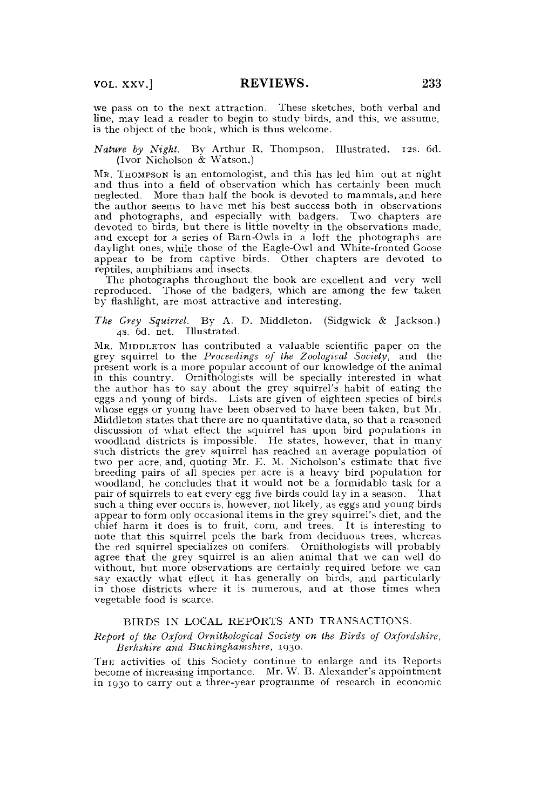we pass on to the next attraction. These sketches, both verbal and line, may lead a reader to begin to study birds, and this, we assume, is the object of the book, which is thus welcome.

# *Nature by Night.* Bv Arthur R. Thompson. Illustrated. 12s. 6d. (Ivor Nicholson & Watson.)

MR. THOMPSON is an entomologist, and this has led him out at night and thus into a field of observation which has certainly been much neglected. More than half the book is devoted to mammals, and here the author seems to have met his best success both in observations and photographs, and especially with badgers. Two chapters are devoted to birds, but there is little novelty in the observations made, and except for a series of Barn-Owls in a loft the photographs are daylight ones, while those of the Eagle-Owl and White-fronted Goose appear to be from captive birds. Other chapters are devoted to reptiles, amphibians and insects.

The photographs throughout the book are excellent and very well reproduced. Those of the badgers, which are among the few taken by flashlight, are most attractive and interesting.

*The Grey Squirrel.* By A. D. Middleton. (Sidgwick & Jackson.) 4s. 6d. net. Illustrated.

M R. MIDDLETON has contributed a valuable scientific paper on the grey squirrel to the *Proceedings of the Zoological Society,* and the present work is a more popular account of our knowledge of the animal in this country. Ornithologists will be specially interested in what the author has to say about the grey squirrel's habit of eating the eggs and young of birds. Lists are given of eighteen species of birds whose eggs or young have been observed to have been taken, but Mr. Middleton states that there are no quantitative data, so that a reasoned discussion of what effect the squirrel has upon bird populations in woodland districts is impossible. He states, however, that in many such districts the grey squirrel has reached an average population of two per acre, and, quoting Mr. E. M. Nicholson's estimate that five breeding pairs of all species per acre is a heavy bird population for woodland, he concludes that it would not be a formidable task for a pair of squirrels to eat every egg five birds could lay in a season. That such a thing ever occurs is, however, not likely, as eggs and young birds appear to form only occasional items in the grey squirrel's diet, and the chief harm it does is to fruit, corn, and trees. It is interesting to note that this squirrel peels the bark from deciduous trees, whereas the red squirrel specializes on conifers. Ornithologists will probably agree that the grey squirrel is an alien animal that we can well do without, but more observations are certainly required before we can say exactly what effect it has generally on birds, and particularly in those districts where it is numerous, and at those times when vegetable food is scarce.

# BIRDS IN LOCAL REPORTS AND TRANSACTIONS.

# *Report of the Oxford Ornithological Society on the Birds of Oxfordshire, Berkshire and Buckinghamshire,* 1930.

THE activities of this Society continue to enlarge and its Reports become of increasing importance. Mr. W. B. Alexander's appointment in 1930 to carry out a three-year programme of research in economic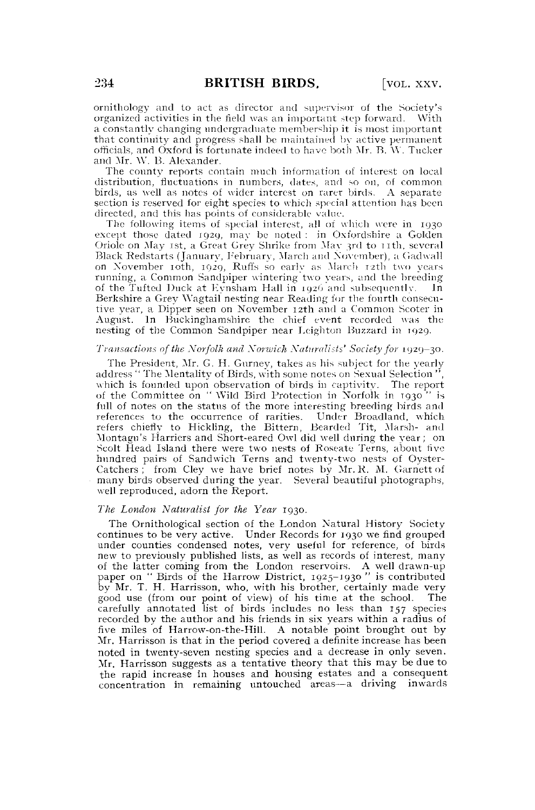ornithology and to act as director and supervisor of the Society's organized activities in the field was an important step forward. With a constantly changing undergraduate membership it is most important that continuity and progress shall be maintained by active permanent officials, and Oxford is fortunate indeed to have both Mr. B. \Y. Tucker and Mr. W. B. Alexander.

The county reports contain much information of interest on local distribution, fluctuations in numbers, dates, and so on, of common birds, as well as notes of wider interest on rarer birds. A separate section is reserved for eight species to which special attention has been directed, and this has points of considerable value.

The following items of special interest, all of which were in 1930 except those dated 1929, may be noted : in Oxfordshire a Golden Oriole on May 1st, a Great Grey Shrike from May 3rd to 11th, several Black Redstarts (January, February, March and November), a Gadwall on November 10th, 1929, Ruffs so earlv as March 12th two years running, a Common Sandpiper wintering two years, and the breeding of the Tufted Duck at Evnsham Hall in 1926 and subsequently. In Berkshire a Grey Wagtail nesting near Reading for the fourth consecutive year, a Dipper seen on November 12th and a Common Scoter in August. In Buckinghamshire the chief event recorded was the nesting of the Common Sandpiper near Leighton Buzzard in 1929.

# *Transactions of the Norfolk and Xorwich Naturalists' Society for* 1929-30.

The President, Mr. G. H. Gurney, takes as his subject for the yearly address " The Mentality of Birds, with some notes on Sexual Selection' which is founded upon observation of birds in captivity. The report of the Committee on " Wild Bird Protection in Norfolk in T930 " is full of notes on the status of the more interesting breeding birds and references to the occurrence of rarities. Under Broadland, which refers chiefly to Hickling, the Bittern, Bearded Tit, Marsh- and Montagu's Harriers and Short-eared Owl did well during the year; on Seolt Head Island there were two nests of Roseate Terns, about five hundred pairs of Sandwich Terns and twenty-two nests of Oyster-Catchers ; from Cley we have brief notes by Mr. R. M. Garnett of many birds observed during the year. Several beautiful photographs, well reproduced, adorn the Report.

## *The London Naturalist for the Year* 1930.

The Ornithological section of the London Natural History Society continues to be very active. Under Records for 1930 we find grouped under counties condensed notes, very useful for reference, of birds new to previously published lists, as well as records of interest, many of the latter coming from the London reservoirs. A well drawn-up paper on " Birds of the Harrow District, 1925-1930 " is contributed by Mr. T. H. Harrisson, who, with his brother, certainly made very good use (from our point of view) of his time at the school. The good use (from our point of view) of his time at the school. carefully annotated list of birds includes no less than 157 species recorded by the author and his friends in six years within a radius of five miles of Harrow-on-the-Hill. A notable point brought out by Mr. Harrisson is that in the period covered a definite increase has been noted in twenty-seven nesting species and a decrease in only seven. Mr. Harrisson suggests as a tentative theory that this may be due to the rapid increase in houses and housing estates and a consequent concentration in remaining untouched areas—a driving inwards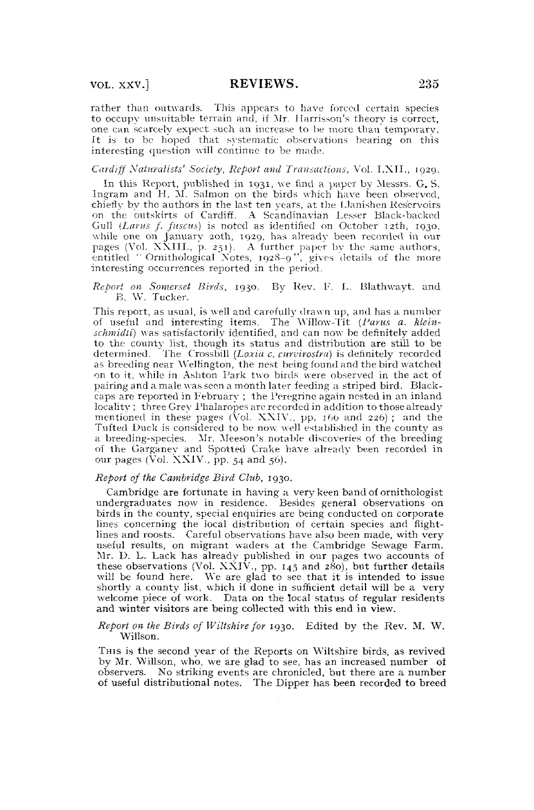rather than outwards. This appears to have forced certain species to occupy unsuitable terrain and, if Mr. Harrisson's theory is correct, one can scarcely expect such an increase to be more than temporary. It is to be hoped that systematic observations bearing on this interesting question will continue to be made.

*Cardiff Naturalists' Society, Report and Transactions,* Vol. LXTT., 1929.

In this Report, published in 1931, we find a paper by Messrs. G. S.<br>Ingram and H. M. Salmon on the birds which have been observed, chiefly by the authors in the last ten years, at the Llanishen Reservoirs on the outskirts of Cardiff. A Scandinavian Lesser Black-backed Gull (Larus f. fuscus) is noted as identified on October 12th, 1930, while one on January 20th, 1929, has already been recorded in our pages (Vol. XXIII., p. 251). A further paper bv the same authors, entitled "Ornithological Xotes, 1928-9", gives details of the more interesting occurrences reported in the period.

*Report CM Somerset Birds,* 1930. By Rev. F. *L,* Blathwayt. and B. \V. Tucker.

This report, as usual, is well and carefully drawn up, and has a number of useful and interesting items. The Willow-Tit (Parus a. klein*schmidti)* was satisfactorily identified, and can now be definitely added to the county list, though its status and distribution are still to be determined. The Crossbill *(Loxia c. curvirosira)* is definitely recorded as breeding near Wellington, the nest being found and the bird watched on to it, while in Ashton Park two birds were observed in the act of pairing and a, male was seen a month later feeding a striped bird. Blackcaps arc reported in February ; the Peregrine again nested in an inland locality ; three Grey Phalaropes are recorded in addition to those already mentioned in these pages (Vol.  $XXIV$ , pp. 166 and 226); and the Tufted Duck is considered to be now well established in the county as a breeding-species. Mr. Meeson's notable discoveries of the breeding of the Garganev and Spotted Crake have already been recorded in our pages (Vol.  $XXIV.$ , pp. 54 and 56).

#### *Report of the Cambridge Bird Club,* 1930.

Cambridge are fortunate in having a very keen band of ornithologist undergraduates now in residence. Besides general observations on birds in the county, special enquiries are being conducted on corporate lines concerning the local distribution of certain species and flightlines and roosts. Careful observations have also been made, with very useful results, on migrant waders at the Cambridge Sewage Farm. Mr. D. L. Lack has already published in our pages two accounts of these observations (Vol. XXIV., pp. 145 and 280), but further details will be found here. We are glad to see that it is intended to issue shortly a county l welcome piece of work. Data on the local status of regular residents and winter visitors are being collected with this end in view.

#### *Report on the Birds of Wiltshire for* 1930. Edited by the Rev. M. W. Willson.

THIS is the second year of the Reports on Wiltshire birds, as revived by Mr. Willson, who, we are glad to see, has an increased number of observers. No striking events are chronicled, but there are a number of useful distributional notes. The Dipper has been recorded to breed